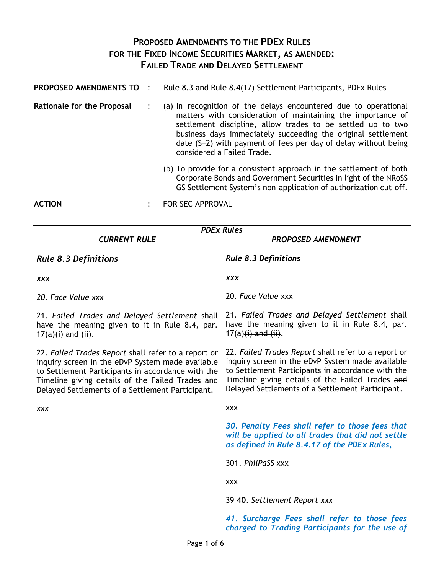## **PROPOSED AMENDMENTS TO THE PDEX RULES FOR THE FIXED INCOME SECURITIES MARKET, AS AMENDED: FAILED TRADE AND DELAYED SETTLEMENT**

| PROPOSED AMENDMENTS TO            |                                                                                                                                                                                                                                                                                                                                                                 | Rule 8.3 and Rule 8.4(17) Settlement Participants, PDEx Rules                                                                                                                                             |
|-----------------------------------|-----------------------------------------------------------------------------------------------------------------------------------------------------------------------------------------------------------------------------------------------------------------------------------------------------------------------------------------------------------------|-----------------------------------------------------------------------------------------------------------------------------------------------------------------------------------------------------------|
| <b>Rationale for the Proposal</b> | (a) In recognition of the delays encountered due to operational<br>matters with consideration of maintaining the importance of<br>settlement discipline, allow trades to be settled up to two<br>business days immediately succeeding the original settlement<br>date $(S+2)$ with payment of fees per day of delay without being<br>considered a Failed Trade. |                                                                                                                                                                                                           |
|                                   |                                                                                                                                                                                                                                                                                                                                                                 | (b) To provide for a consistent approach in the settlement of both<br>Corporate Bonds and Government Securities in light of the NRoSS<br>GS Settlement System's non-application of authorization cut-off. |
| <b>ACTION</b>                     |                                                                                                                                                                                                                                                                                                                                                                 | FOR SEC APPROVAL                                                                                                                                                                                          |

| <b>PDEx Rules</b>                                                                                                                                                                                                                                                    |                                                                                                                                                                                                                                                                      |  |  |  |
|----------------------------------------------------------------------------------------------------------------------------------------------------------------------------------------------------------------------------------------------------------------------|----------------------------------------------------------------------------------------------------------------------------------------------------------------------------------------------------------------------------------------------------------------------|--|--|--|
| <b>CURRENT RULE</b>                                                                                                                                                                                                                                                  | <b>PROPOSED AMENDMENT</b>                                                                                                                                                                                                                                            |  |  |  |
| <b>Rule 8.3 Definitions</b>                                                                                                                                                                                                                                          | <b>Rule 8.3 Definitions</b>                                                                                                                                                                                                                                          |  |  |  |
| <b>XXX</b>                                                                                                                                                                                                                                                           | <b>XXX</b>                                                                                                                                                                                                                                                           |  |  |  |
| 20. Face Value xxx                                                                                                                                                                                                                                                   | 20. Face Value xxx                                                                                                                                                                                                                                                   |  |  |  |
| 21. Failed Trades and Delayed Settlement shall<br>have the meaning given to it in Rule 8.4, par.<br>$17(a)(i)$ and (ii).                                                                                                                                             | 21. Failed Trades and Delayed Settlement shall<br>have the meaning given to it in Rule 8.4, par.<br>$17(a)(i)$ and $(ii)$ .                                                                                                                                          |  |  |  |
| 22. Failed Trades Report shall refer to a report or<br>inquiry screen in the eDvP System made available<br>to Settlement Participants in accordance with the<br>Timeline giving details of the Failed Trades and<br>Delayed Settlements of a Settlement Participant. | 22. Failed Trades Report shall refer to a report or<br>inquiry screen in the eDvP System made available<br>to Settlement Participants in accordance with the<br>Timeline giving details of the Failed Trades and<br>Delayed Settlements of a Settlement Participant. |  |  |  |
| <b>XXX</b>                                                                                                                                                                                                                                                           | <b>XXX</b>                                                                                                                                                                                                                                                           |  |  |  |
|                                                                                                                                                                                                                                                                      | 30. Penalty Fees shall refer to those fees that<br>will be applied to all trades that did not settle<br>as defined in Rule 8.4.17 of the PDEx Rules,                                                                                                                 |  |  |  |
|                                                                                                                                                                                                                                                                      | 301. PhilPaSS xxx                                                                                                                                                                                                                                                    |  |  |  |
|                                                                                                                                                                                                                                                                      | <b>XXX</b>                                                                                                                                                                                                                                                           |  |  |  |
|                                                                                                                                                                                                                                                                      | 39 40. Settlement Report xxx                                                                                                                                                                                                                                         |  |  |  |
|                                                                                                                                                                                                                                                                      | 41. Surcharge Fees shall refer to those fees<br>charged to Trading Participants for the use of                                                                                                                                                                       |  |  |  |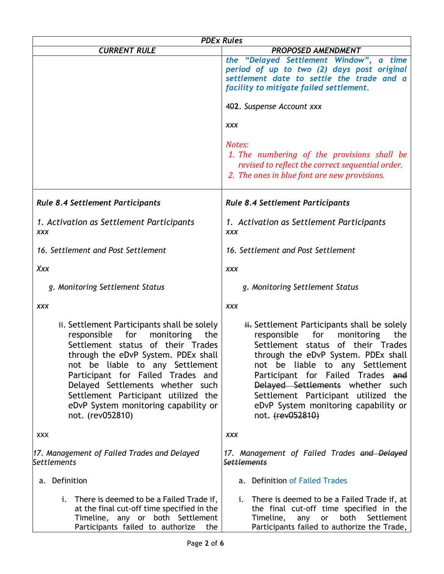|                                                                                                                                                                                                                                                                                                                                                                                   | <b>PDEx Rules</b>                                                                                                                                                                                                                                                                                                                                                                      |  |  |  |  |
|-----------------------------------------------------------------------------------------------------------------------------------------------------------------------------------------------------------------------------------------------------------------------------------------------------------------------------------------------------------------------------------|----------------------------------------------------------------------------------------------------------------------------------------------------------------------------------------------------------------------------------------------------------------------------------------------------------------------------------------------------------------------------------------|--|--|--|--|
| <b>CURRENT RULE</b>                                                                                                                                                                                                                                                                                                                                                               | <b>PROPOSED AMENDMENT</b>                                                                                                                                                                                                                                                                                                                                                              |  |  |  |  |
|                                                                                                                                                                                                                                                                                                                                                                                   | the "Delayed Settlement Window", a time<br>period of up to two (2) days post original<br>settlement date to settle the trade and a<br>facility to mitigate failed settlement.<br>402. Suspense Account xxx                                                                                                                                                                             |  |  |  |  |
|                                                                                                                                                                                                                                                                                                                                                                                   |                                                                                                                                                                                                                                                                                                                                                                                        |  |  |  |  |
|                                                                                                                                                                                                                                                                                                                                                                                   | <b>XXX</b>                                                                                                                                                                                                                                                                                                                                                                             |  |  |  |  |
|                                                                                                                                                                                                                                                                                                                                                                                   | Notes:<br>1. The numbering of the provisions shall be<br>revised to reflect the correct sequential order.<br>2. The ones in blue font are new provisions.                                                                                                                                                                                                                              |  |  |  |  |
| <b>Rule 8.4 Settlement Participants</b>                                                                                                                                                                                                                                                                                                                                           | <b>Rule 8.4 Settlement Participants</b>                                                                                                                                                                                                                                                                                                                                                |  |  |  |  |
| 1. Activation as Settlement Participants<br>XXX                                                                                                                                                                                                                                                                                                                                   | 1. Activation as Settlement Participants<br><b>XXX</b>                                                                                                                                                                                                                                                                                                                                 |  |  |  |  |
| 16. Settlement and Post Settlement                                                                                                                                                                                                                                                                                                                                                | 16. Settlement and Post Settlement                                                                                                                                                                                                                                                                                                                                                     |  |  |  |  |
| Xxx                                                                                                                                                                                                                                                                                                                                                                               | <b>XXX</b>                                                                                                                                                                                                                                                                                                                                                                             |  |  |  |  |
| g. Monitoring Settlement Status                                                                                                                                                                                                                                                                                                                                                   | g. Monitoring Settlement Status                                                                                                                                                                                                                                                                                                                                                        |  |  |  |  |
| XXX                                                                                                                                                                                                                                                                                                                                                                               | <b>XXX</b>                                                                                                                                                                                                                                                                                                                                                                             |  |  |  |  |
| ii. Settlement Participants shall be solely<br>responsible<br>for<br>monitoring<br>the<br>Settlement status of their Trades<br>through the eDvP System. PDEx shall<br>not be liable to any Settlement<br>Participant for Failed Trades and<br>Delayed Settlements whether such<br>Settlement Participant utilized the<br>eDvP System monitoring capability or<br>not. (rev052810) | i. Settlement Participants shall be solely<br>responsible<br>for<br>monitoring<br>the<br>of their Trades<br>Settlement<br>status<br>through the eDvP System. PDEx shall<br>not be liable to any Settlement<br>Participant for Failed Trades and<br>Delayed Settlements whether such<br>Settlement Participant utilized the<br>eDvP System monitoring capability or<br>not. (rev052810) |  |  |  |  |
| <b>XXX</b>                                                                                                                                                                                                                                                                                                                                                                        | <b>XXX</b>                                                                                                                                                                                                                                                                                                                                                                             |  |  |  |  |
| 17. Management of Failed Trades and Delayed<br><b>Settlements</b>                                                                                                                                                                                                                                                                                                                 | 17. Management of Failed Trades and Delayed<br><b>Settlements</b>                                                                                                                                                                                                                                                                                                                      |  |  |  |  |
| a. Definition                                                                                                                                                                                                                                                                                                                                                                     | a. Definition of Failed Trades                                                                                                                                                                                                                                                                                                                                                         |  |  |  |  |
| There is deemed to be a Failed Trade if,<br>i.<br>at the final cut-off time specified in the<br>Timeline, any or both Settlement<br>Participants failed to authorize<br>the                                                                                                                                                                                                       | There is deemed to be a Failed Trade if, at<br>i.<br>the final cut-off time specified in the<br>Timeline,<br>both<br>Settlement<br>any<br>or<br>Participants failed to authorize the Trade,                                                                                                                                                                                            |  |  |  |  |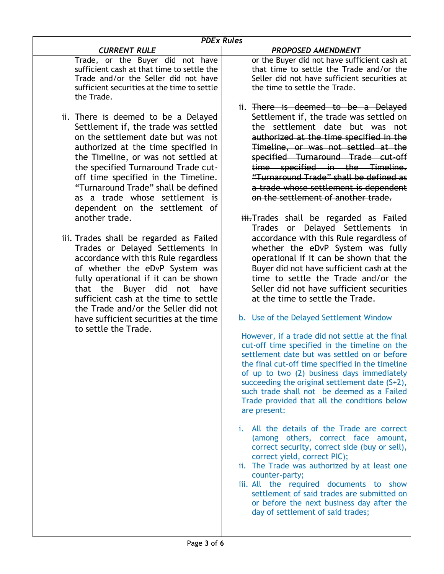| <b>PDEx Rules</b>                                                                                                                                                                                                                                                                                                                                                                                                                                                                                                                                                                                                                                                                                                                                                                            |                                                                                                                                                                                                                                                                                                                                                                                                                                                                                                                                                                                                                                                                                                                                                                                                                                                                                                                                                                                                                                                                                                                                                                                                                                                                                                                                                                                                                                                                                                                                                                                                                                                                           |  |  |
|----------------------------------------------------------------------------------------------------------------------------------------------------------------------------------------------------------------------------------------------------------------------------------------------------------------------------------------------------------------------------------------------------------------------------------------------------------------------------------------------------------------------------------------------------------------------------------------------------------------------------------------------------------------------------------------------------------------------------------------------------------------------------------------------|---------------------------------------------------------------------------------------------------------------------------------------------------------------------------------------------------------------------------------------------------------------------------------------------------------------------------------------------------------------------------------------------------------------------------------------------------------------------------------------------------------------------------------------------------------------------------------------------------------------------------------------------------------------------------------------------------------------------------------------------------------------------------------------------------------------------------------------------------------------------------------------------------------------------------------------------------------------------------------------------------------------------------------------------------------------------------------------------------------------------------------------------------------------------------------------------------------------------------------------------------------------------------------------------------------------------------------------------------------------------------------------------------------------------------------------------------------------------------------------------------------------------------------------------------------------------------------------------------------------------------------------------------------------------------|--|--|
| <b>CURRENT RULE</b>                                                                                                                                                                                                                                                                                                                                                                                                                                                                                                                                                                                                                                                                                                                                                                          | <b>PROPOSED AMENDMENT</b>                                                                                                                                                                                                                                                                                                                                                                                                                                                                                                                                                                                                                                                                                                                                                                                                                                                                                                                                                                                                                                                                                                                                                                                                                                                                                                                                                                                                                                                                                                                                                                                                                                                 |  |  |
| Trade, or the Buyer did not have<br>sufficient cash at that time to settle the<br>Trade and/or the Seller did not have<br>sufficient securities at the time to settle<br>the Trade.                                                                                                                                                                                                                                                                                                                                                                                                                                                                                                                                                                                                          | or the Buyer did not have sufficient cash at<br>that time to settle the Trade and/or the<br>Seller did not have sufficient securities at<br>the time to settle the Trade.                                                                                                                                                                                                                                                                                                                                                                                                                                                                                                                                                                                                                                                                                                                                                                                                                                                                                                                                                                                                                                                                                                                                                                                                                                                                                                                                                                                                                                                                                                 |  |  |
| ii. There is deemed to be a Delayed<br>Settlement if, the trade was settled<br>on the settlement date but was not<br>authorized at the time specified in<br>the Timeline, or was not settled at<br>the specified Turnaround Trade cut-<br>off time specified in the Timeline.<br>"Turnaround Trade" shall be defined<br>as a trade whose settlement is<br>dependent on the settlement of<br>another trade.<br>iii. Trades shall be regarded as Failed<br>Trades or Delayed Settlements in<br>accordance with this Rule regardless<br>of whether the eDvP System was<br>fully operational if it can be shown<br>that the Buyer did not have<br>sufficient cash at the time to settle<br>the Trade and/or the Seller did not<br>have sufficient securities at the time<br>to settle the Trade. | ii. There is deemed to be a Delayed<br>Settlement if, the trade was settled on<br>the settlement date but was not<br>authorized at the time specified in the<br>Timeline, or was not settled at the<br>specified Turnaround Trade cut-off<br>time specified in the Timeline.<br>"Turnaround Trade" shall be defined as<br>a trade whose settlement is dependent<br>on the settlement of another trade.<br>iii.Trades shall be regarded as Failed<br>Trades or Delayed Settlements in<br>accordance with this Rule regardless of<br>whether the eDvP System was fully<br>operational if it can be shown that the<br>Buyer did not have sufficient cash at the<br>time to settle the Trade and/or the<br>Seller did not have sufficient securities<br>at the time to settle the Trade.<br>b. Use of the Delayed Settlement Window<br>However, if a trade did not settle at the final<br>cut-off time specified in the timeline on the<br>settlement date but was settled on or before<br>the final cut-off time specified in the timeline<br>of up to two (2) business days immediately<br>succeeding the original settlement date (S+2),<br>such trade shall not be deemed as a Failed<br>Trade provided that all the conditions below<br>are present:<br>i. All the details of the Trade are correct<br>(among others, correct face amount,<br>correct security, correct side (buy or sell),<br>correct yield, correct PIC);<br>ii. The Trade was authorized by at least one<br>counter-party;<br>iii. All the required documents to show<br>settlement of said trades are submitted on<br>or before the next business day after the<br>day of settlement of said trades; |  |  |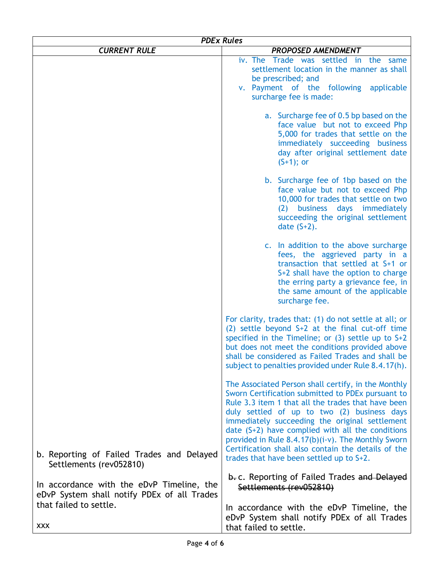| <b>PDEx Rules</b>                                                                                                   |                                                                                                                                                                                                                                                                                                                                                                                                                                                                              |  |  |  |
|---------------------------------------------------------------------------------------------------------------------|------------------------------------------------------------------------------------------------------------------------------------------------------------------------------------------------------------------------------------------------------------------------------------------------------------------------------------------------------------------------------------------------------------------------------------------------------------------------------|--|--|--|
| <b>CURRENT RULE</b>                                                                                                 | <b>PROPOSED AMENDMENT</b>                                                                                                                                                                                                                                                                                                                                                                                                                                                    |  |  |  |
|                                                                                                                     | iv. The Trade was settled in the same<br>settlement location in the manner as shall<br>be prescribed; and<br>v. Payment of the following applicable<br>surcharge fee is made:                                                                                                                                                                                                                                                                                                |  |  |  |
|                                                                                                                     | a. Surcharge fee of 0.5 bp based on the<br>face value but not to exceed Php<br>5,000 for trades that settle on the<br>immediately succeeding business<br>day after original settlement date<br>$(S+1)$ ; or                                                                                                                                                                                                                                                                  |  |  |  |
|                                                                                                                     | b. Surcharge fee of 1bp based on the<br>face value but not to exceed Php<br>10,000 for trades that settle on two<br>(2) business days immediately<br>succeeding the original settlement<br>date $(S+2)$ .                                                                                                                                                                                                                                                                    |  |  |  |
|                                                                                                                     | c. In addition to the above surcharge<br>fees, the aggrieved party in a<br>transaction that settled at S+1 or<br>S+2 shall have the option to charge<br>the erring party a grievance fee, in<br>the same amount of the applicable<br>surcharge fee.                                                                                                                                                                                                                          |  |  |  |
|                                                                                                                     | For clarity, trades that: (1) do not settle at all; or<br>(2) settle beyond $S+2$ at the final cut-off time<br>specified in the Timeline; or $(3)$ settle up to $S+2$<br>but does not meet the conditions provided above<br>shall be considered as Failed Trades and shall be<br>subject to penalties provided under Rule 8.4.17(h).                                                                                                                                         |  |  |  |
| b. Reporting of Failed Trades and Delayed                                                                           | The Associated Person shall certify, in the Monthly<br>Sworn Certification submitted to PDEx pursuant to<br>Rule 3.3 item 1 that all the trades that have been<br>duly settled of up to two (2) business days<br>immediately succeeding the original settlement<br>date (S+2) have complied with all the conditions<br>provided in Rule 8.4.17(b)(i-v). The Monthly Sworn<br>Certification shall also contain the details of the<br>trades that have been settled up to S+2. |  |  |  |
| Settlements (rev052810)<br>In accordance with the eDvP Timeline, the<br>eDvP System shall notify PDEx of all Trades | b. c. Reporting of Failed Trades and Delayed<br>Settlements (rev052810)                                                                                                                                                                                                                                                                                                                                                                                                      |  |  |  |
| that failed to settle.<br><b>XXX</b>                                                                                | In accordance with the eDvP Timeline, the<br>eDvP System shall notify PDEx of all Trades<br>that failed to settle.                                                                                                                                                                                                                                                                                                                                                           |  |  |  |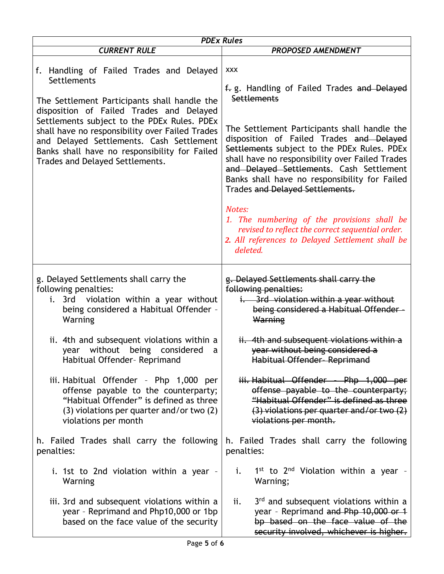| <b>PDEx Rules</b>                                                                                                                                                                                                                                                                                                                                                                     |                                                                                                                                                                                                                                                                                                                                                                                                                                                                                                                                                                                     |  |  |  |
|---------------------------------------------------------------------------------------------------------------------------------------------------------------------------------------------------------------------------------------------------------------------------------------------------------------------------------------------------------------------------------------|-------------------------------------------------------------------------------------------------------------------------------------------------------------------------------------------------------------------------------------------------------------------------------------------------------------------------------------------------------------------------------------------------------------------------------------------------------------------------------------------------------------------------------------------------------------------------------------|--|--|--|
| <b>CURRENT RULE</b>                                                                                                                                                                                                                                                                                                                                                                   | <b>PROPOSED AMENDMENT</b>                                                                                                                                                                                                                                                                                                                                                                                                                                                                                                                                                           |  |  |  |
| f. Handling of Failed Trades and Delayed<br>Settlements<br>The Settlement Participants shall handle the<br>disposition of Failed Trades and Delayed<br>Settlements subject to the PDEx Rules. PDEx<br>shall have no responsibility over Failed Trades<br>and Delayed Settlements. Cash Settlement<br>Banks shall have no responsibility for Failed<br>Trades and Delayed Settlements. | <b>XXX</b><br>f. g. Handling of Failed Trades and Delayed<br>Settlements<br>The Settlement Participants shall handle the<br>disposition of Failed Trades and Delayed<br>Settlements subject to the PDEx Rules. PDEx<br>shall have no responsibility over Failed Trades<br>and Delayed Settlements. Cash Settlement<br>Banks shall have no responsibility for Failed<br>Trades and Delayed Settlements.<br>Notes:<br>1. The numbering of the provisions shall be<br>revised to reflect the correct sequential order.<br>2. All references to Delayed Settlement shall be<br>deleted. |  |  |  |
| g. Delayed Settlements shall carry the<br>following penalties:<br>i. 3rd violation within a year without<br>being considered a Habitual Offender -<br>Warning                                                                                                                                                                                                                         | g. Delayed Settlements shall carry the<br>following penalties:<br>i. 3rd violation within a year without<br>being considered a Habitual Offender -<br>Warning                                                                                                                                                                                                                                                                                                                                                                                                                       |  |  |  |
| ii. 4th and subsequent violations within a<br>year without being considered<br>a<br>Habitual Offender- Reprimand                                                                                                                                                                                                                                                                      | ii. 4th and subsequent violations within a<br>year without being considered a<br>Habitual Offender-Reprimand                                                                                                                                                                                                                                                                                                                                                                                                                                                                        |  |  |  |
| iii. Habitual Offender - Php 1,000 per<br>offense payable to the counterparty;<br>"Habitual Offender" is defined as three<br>(3) violations per quarter and/or two (2)<br>violations per month                                                                                                                                                                                        | iii. Habitual Offender - Php 1,000 per<br>offense payable to the counterparty;<br>"Habitual Offender" is defined as three<br>$(3)$ violations per quarter and/or two $(2)$<br>violations per month.                                                                                                                                                                                                                                                                                                                                                                                 |  |  |  |
| h. Failed Trades shall carry the following<br>penalties:                                                                                                                                                                                                                                                                                                                              | h. Failed Trades shall carry the following<br>penalties:                                                                                                                                                                                                                                                                                                                                                                                                                                                                                                                            |  |  |  |
| i. 1st to 2nd violation within a year -<br>Warning                                                                                                                                                                                                                                                                                                                                    | $1^{st}$ to $2^{nd}$ Violation within a year -<br>i.<br>Warning;                                                                                                                                                                                                                                                                                                                                                                                                                                                                                                                    |  |  |  |
| iii. 3rd and subsequent violations within a<br>year - Reprimand and Php10,000 or 1bp<br>based on the face value of the security                                                                                                                                                                                                                                                       | 3rd and subsequent violations within a<br>ii.<br>year - Reprimand and Php 10,000 or 1<br>bp based on the face value of the<br>security involved, whichever is higher.                                                                                                                                                                                                                                                                                                                                                                                                               |  |  |  |